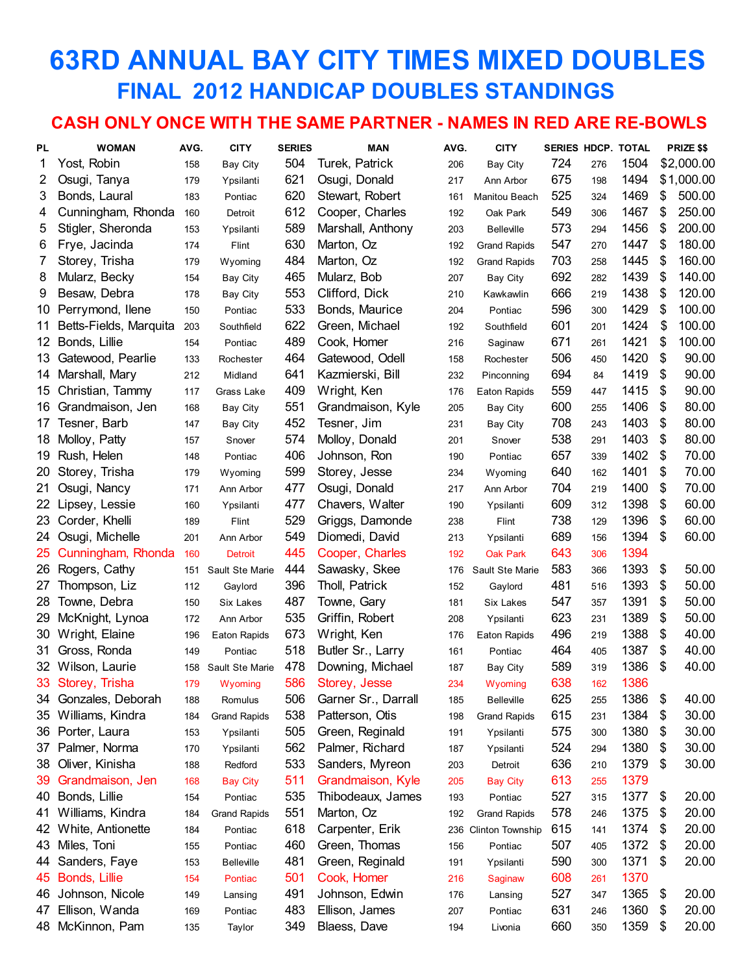## **63RD ANNUAL BAY CITY TIMES MIXED DOUBLES FINAL 2012 HANDICAP DOUBLES STANDINGS**

#### **CASH ONLY ONCE WITH THE SAME PARTNER - NAMES IN RED ARE RE-BOWLS**

| PL | <b>WOMAN</b>           | AVG. | <b>CITY</b>         | <b>SERIES</b> | <b>MAN</b>          | AVG. | <b>CITY</b>         | <b>SERIES HDCP. TOTAL</b> |     |      | PRIZE \$\$   |
|----|------------------------|------|---------------------|---------------|---------------------|------|---------------------|---------------------------|-----|------|--------------|
| 1  | Yost, Robin            | 158  | <b>Bay City</b>     | 504           | Turek, Patrick      | 206  | Bay City            | 724                       | 276 | 1504 | \$2,000.00   |
| 2  | Osugi, Tanya           | 179  | Ypsilanti           | 621           | Osugi, Donald       | 217  | Ann Arbor           | 675                       | 198 | 1494 | \$1,000.00   |
| 3  | Bonds, Laural          | 183  | Pontiac             | 620           | Stewart, Robert     | 161  | Manitou Beach       | 525                       | 324 | 1469 | \$<br>500.00 |
| 4  | Cunningham, Rhonda     | 160  | Detroit             | 612           | Cooper, Charles     | 192  | Oak Park            | 549                       | 306 | 1467 | \$<br>250.00 |
| 5  | Stigler, Sheronda      | 153  | Ypsilanti           | 589           | Marshall, Anthony   | 203  | <b>Belleville</b>   | 573                       | 294 | 1456 | \$<br>200.00 |
| 6  | Frye, Jacinda          | 174  | Flint               | 630           | Marton, Oz          | 192  | <b>Grand Rapids</b> | 547                       | 270 | 1447 | \$<br>180.00 |
| 7  | Storey, Trisha         | 179  | Wyoming             | 484           | Marton, Oz          | 192  | <b>Grand Rapids</b> | 703                       | 258 | 1445 | \$<br>160.00 |
| 8  | Mularz, Becky          | 154  | Bay City            | 465           | Mularz, Bob         | 207  | Bay City            | 692                       | 282 | 1439 | \$<br>140.00 |
| 9  | Besaw, Debra           | 178  | <b>Bay City</b>     | 553           | Clifford, Dick      | 210  | Kawkawlin           | 666                       | 219 | 1438 | \$<br>120.00 |
| 10 | Perrymond, Ilene       | 150  | Pontiac             | 533           | Bonds, Maurice      | 204  | Pontiac             | 596                       | 300 | 1429 | \$<br>100.00 |
| 11 | Betts-Fields, Marquita | 203  | Southfield          | 622           | Green, Michael      | 192  | Southfield          | 601                       | 201 | 1424 | \$<br>100.00 |
| 12 | Bonds, Lillie          | 154  | Pontiac             | 489           | Cook, Homer         | 216  | Saginaw             | 671                       | 261 | 1421 | \$<br>100.00 |
| 13 | Gatewood, Pearlie      | 133  | Rochester           | 464           | Gatewood, Odell     | 158  | Rochester           | 506                       | 450 | 1420 | \$<br>90.00  |
| 14 | Marshall, Mary         | 212  | Midland             | 641           | Kazmierski, Bill    | 232  | Pinconning          | 694                       | 84  | 1419 | \$<br>90.00  |
| 15 | Christian, Tammy       | 117  | Grass Lake          | 409           | Wright, Ken         | 176  | Eaton Rapids        | 559                       | 447 | 1415 | \$<br>90.00  |
| 16 | Grandmaison, Jen       | 168  | <b>Bay City</b>     | 551           | Grandmaison, Kyle   | 205  | Bay City            | 600                       | 255 | 1406 | \$<br>80.00  |
| 17 | Tesner, Barb           | 147  | <b>Bay City</b>     | 452           | Tesner, Jim         | 231  | Bay City            | 708                       | 243 | 1403 | \$<br>80.00  |
| 18 | Molloy, Patty          | 157  | Snover              | 574           | Molloy, Donald      | 201  | Snover              | 538                       | 291 | 1403 | \$<br>80.00  |
| 19 | Rush, Helen            | 148  | Pontiac             | 406           | Johnson, Ron        | 190  | Pontiac             | 657                       | 339 | 1402 | \$<br>70.00  |
| 20 | Storey, Trisha         | 179  | Wyoming             | 599           | Storey, Jesse       | 234  | Wyoming             | 640                       | 162 | 1401 | \$<br>70.00  |
| 21 | Osugi, Nancy           | 171  | Ann Arbor           | 477           | Osugi, Donald       | 217  | Ann Arbor           | 704                       | 219 | 1400 | \$<br>70.00  |
| 22 | Lipsey, Lessie         | 160  | Ypsilanti           | 477           | Chavers, Walter     | 190  | Ypsilanti           | 609                       | 312 | 1398 | \$<br>60.00  |
| 23 | Corder, Khelli         | 189  | Flint               | 529           | Griggs, Damonde     | 238  | Flint               | 738                       | 129 | 1396 | \$<br>60.00  |
| 24 | Osugi, Michelle        | 201  | Ann Arbor           | 549           | Diomedi, David      | 213  | Ypsilanti           | 689                       | 156 | 1394 | \$<br>60.00  |
| 25 | Cunningham, Rhonda     | 160  | <b>Detroit</b>      | 445           | Cooper, Charles     | 192  | <b>Oak Park</b>     | 643                       | 306 | 1394 |              |
| 26 | Rogers, Cathy          | 151  | Sault Ste Marie     | 444           | Sawasky, Skee       | 176  | Sault Ste Marie     | 583                       | 366 | 1393 | \$<br>50.00  |
| 27 | Thompson, Liz          | 112  | Gaylord             | 396           | Tholl, Patrick      | 152  | Gaylord             | 481                       | 516 | 1393 | \$<br>50.00  |
| 28 | Towne, Debra           | 150  | Six Lakes           | 487           | Towne, Gary         | 181  | Six Lakes           | 547                       | 357 | 1391 | \$<br>50.00  |
| 29 | McKnight, Lynoa        | 172  | Ann Arbor           | 535           | Griffin, Robert     | 208  | Ypsilanti           | 623                       | 231 | 1389 | \$<br>50.00  |
| 30 | Wright, Elaine         | 196  | Eaton Rapids        | 673           | Wright, Ken         | 176  | Eaton Rapids        | 496                       | 219 | 1388 | \$<br>40.00  |
| 31 | Gross, Ronda           | 149  | Pontiac             | 518           | Butler Sr., Larry   | 161  | Pontiac             | 464                       | 405 | 1387 | \$<br>40.00  |
| 32 | Wilson, Laurie         | 158  | Sault Ste Marie     | 478           | Downing, Michael    | 187  | <b>Bay City</b>     | 589                       | 319 | 1386 | \$<br>40.00  |
| 33 | Storey, Trisha         | 179  | Wyoming             | 586           | Storey, Jesse       | 234  | Wyoming             | 638                       | 162 | 1386 |              |
| 34 | Gonzales, Deborah      | 188  | Romulus             | 506           | Garner Sr., Darrall | 185  | <b>Belleville</b>   | 625                       | 255 | 1386 | \$<br>40.00  |
| 35 | Williams, Kindra       | 184  | <b>Grand Rapids</b> | 538           | Patterson, Otis     | 198  | <b>Grand Rapids</b> | 615                       | 231 | 1384 | \$<br>30.00  |
|    | 36 Porter, Laura       | 153  | Ypsilanti           | 505           | Green, Reginald     | 191  | Ypsilanti           | 575                       | 300 | 1380 | \$<br>30.00  |
| 37 | Palmer, Norma          | 170  | Ypsilanti           | 562           | Palmer, Richard     | 187  | Ypsilanti           | 524                       | 294 | 1380 | \$<br>30.00  |
| 38 | Oliver, Kinisha        | 188  | Redford             | 533           | Sanders, Myreon     | 203  | Detroit             | 636                       | 210 | 1379 | \$<br>30.00  |
| 39 | Grandmaison, Jen       | 168  | <b>Bay City</b>     | 511           | Grandmaison, Kyle   | 205  | <b>Bay City</b>     | 613                       | 255 | 1379 |              |
| 40 | Bonds, Lillie          | 154  | Pontiac             | 535           | Thibodeaux, James   | 193  | Pontiac             | 527                       | 315 | 1377 | \$<br>20.00  |
| 41 | Williams, Kindra       | 184  | <b>Grand Rapids</b> | 551           | Marton, Oz          | 192  | <b>Grand Rapids</b> | 578                       | 246 | 1375 | \$<br>20.00  |
| 42 | White, Antionette      | 184  | Pontiac             | 618           | Carpenter, Erik     | 236  | Clinton Township    | 615                       | 141 | 1374 | \$<br>20.00  |
| 43 | Miles, Toni            | 155  | Pontiac             | 460           | Green, Thomas       | 156  | Pontiac             | 507                       | 405 | 1372 | \$<br>20.00  |
| 44 | Sanders, Faye          | 153  | <b>Belleville</b>   | 481           | Green, Reginald     | 191  | Ypsilanti           | 590                       | 300 | 1371 | \$<br>20.00  |
| 45 | Bonds, Lillie          | 154  | Pontiac             | 501           | Cook, Homer         | 216  | Saginaw             | 608                       | 261 | 1370 |              |
| 46 | Johnson, Nicole        | 149  | Lansing             | 491           | Johnson, Edwin      | 176  | Lansing             | 527                       | 347 | 1365 | \$<br>20.00  |
| 47 | Ellison, Wanda         | 169  | Pontiac             | 483           | Ellison, James      | 207  | Pontiac             | 631                       | 246 | 1360 | \$<br>20.00  |
|    | 48 McKinnon, Pam       | 135  | Taylor              | 349           | Blaess, Dave        | 194  | Livonia             | 660                       | 350 | 1359 | \$<br>20.00  |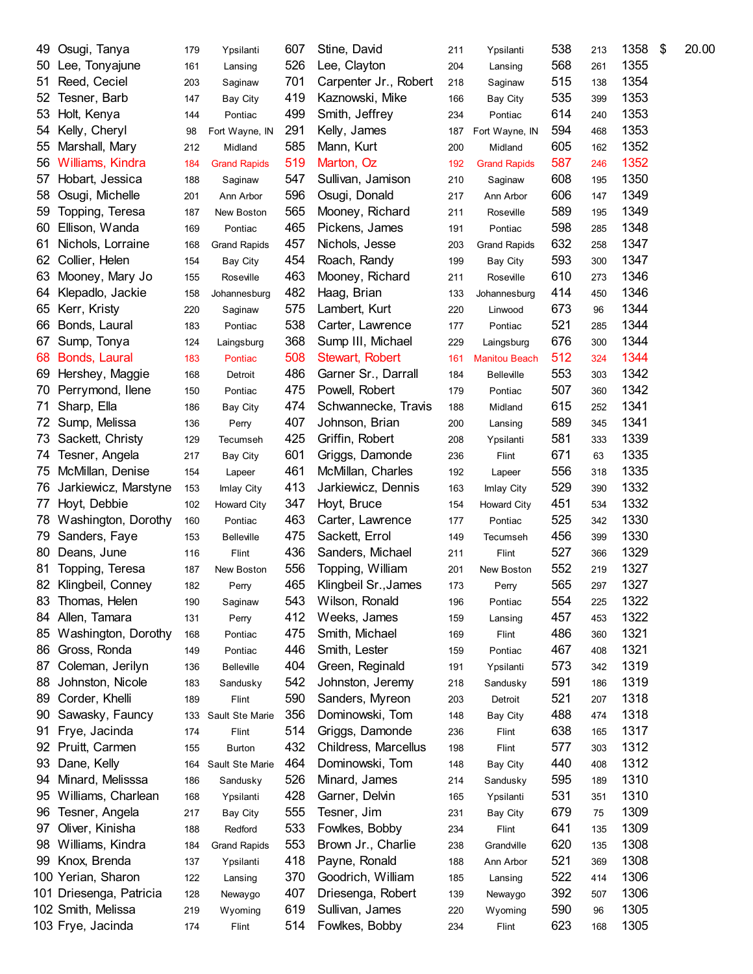| 49 | Osugi, Tanya            | 179 | Ypsilanti           | 607 | Stine, David          | 211 | Ypsilanti            | 538 | 213 | 1358 | \$<br>20.00 |
|----|-------------------------|-----|---------------------|-----|-----------------------|-----|----------------------|-----|-----|------|-------------|
| 50 | Lee, Tonyajune          | 161 | Lansing             | 526 | Lee, Clayton          | 204 | Lansing              | 568 | 261 | 1355 |             |
| 51 | Reed, Ceciel            | 203 | Saginaw             | 701 | Carpenter Jr., Robert | 218 | Saginaw              | 515 | 138 | 1354 |             |
| 52 | Tesner, Barb            | 147 | Bay City            | 419 | Kaznowski, Mike       | 166 | <b>Bay City</b>      | 535 | 399 | 1353 |             |
| 53 | Holt, Kenya             | 144 | Pontiac             | 499 | Smith, Jeffrey        | 234 | Pontiac              | 614 | 240 | 1353 |             |
| 54 | Kelly, Cheryl           | 98  | Fort Wayne, IN      | 291 | Kelly, James          | 187 | Fort Wayne, IN       | 594 | 468 | 1353 |             |
| 55 | Marshall, Mary          | 212 | Midland             | 585 | Mann, Kurt            | 200 | Midland              | 605 | 162 | 1352 |             |
| 56 | Williams, Kindra        | 184 | <b>Grand Rapids</b> | 519 | Marton, Oz            | 192 | <b>Grand Rapids</b>  | 587 | 246 | 1352 |             |
| 57 | Hobart, Jessica         | 188 | Saginaw             | 547 | Sullivan, Jamison     | 210 | Saginaw              | 608 | 195 | 1350 |             |
| 58 | Osugi, Michelle         | 201 | Ann Arbor           | 596 | Osugi, Donald         | 217 | Ann Arbor            | 606 | 147 | 1349 |             |
| 59 | Topping, Teresa         | 187 | New Boston          | 565 | Mooney, Richard       | 211 | Roseville            | 589 | 195 | 1349 |             |
| 60 | Ellison, Wanda          | 169 | Pontiac             | 465 | Pickens, James        | 191 | Pontiac              | 598 | 285 | 1348 |             |
| 61 | Nichols, Lorraine       | 168 | <b>Grand Rapids</b> | 457 | Nichols, Jesse        | 203 | <b>Grand Rapids</b>  | 632 | 258 | 1347 |             |
| 62 | Collier, Helen          | 154 | Bay City            | 454 | Roach, Randy          | 199 | <b>Bay City</b>      | 593 | 300 | 1347 |             |
| 63 | Mooney, Mary Jo         | 155 | Roseville           | 463 | Mooney, Richard       | 211 | Roseville            | 610 | 273 | 1346 |             |
| 64 | Klepadlo, Jackie        | 158 | Johannesburg        | 482 | Haag, Brian           | 133 | Johannesburg         | 414 | 450 | 1346 |             |
| 65 | Kerr, Kristy            | 220 | Saginaw             | 575 | Lambert, Kurt         | 220 | Linwood              | 673 | 96  | 1344 |             |
| 66 | Bonds, Laural           | 183 | Pontiac             | 538 | Carter, Lawrence      | 177 | Pontiac              | 521 | 285 | 1344 |             |
| 67 | Sump, Tonya             | 124 |                     | 368 | Sump III, Michael     | 229 | Laingsburg           | 676 | 300 | 1344 |             |
| 68 | Bonds, Laural           |     | Laingsburg          | 508 | Stewart, Robert       |     | <b>Manitou Beach</b> | 512 |     | 1344 |             |
|    |                         | 183 | Pontiac             | 486 | Garner Sr., Darrall   | 161 |                      | 553 | 324 | 1342 |             |
| 69 | Hershey, Maggie         | 168 | Detroit             |     |                       | 184 | <b>Belleville</b>    |     | 303 | 1342 |             |
| 70 | Perrymond, Ilene        | 150 | Pontiac             | 475 | Powell, Robert        | 179 | Pontiac              | 507 | 360 |      |             |
| 71 | Sharp, Ella             | 186 | <b>Bay City</b>     | 474 | Schwannecke, Travis   | 188 | Midland              | 615 | 252 | 1341 |             |
| 72 | Sump, Melissa           | 136 | Perry               | 407 | Johnson, Brian        | 200 | Lansing              | 589 | 345 | 1341 |             |
| 73 | Sackett, Christy        | 129 | Tecumseh            | 425 | Griffin, Robert       | 208 | Ypsilanti            | 581 | 333 | 1339 |             |
| 74 | Tesner, Angela          | 217 | <b>Bay City</b>     | 601 | Griggs, Damonde       | 236 | Flint                | 671 | 63  | 1335 |             |
| 75 | McMillan, Denise        | 154 | Lapeer              | 461 | McMillan, Charles     | 192 | Lapeer               | 556 | 318 | 1335 |             |
| 76 | Jarkiewicz, Marstyne    | 153 | Imlay City          | 413 | Jarkiewicz, Dennis    | 163 | Imlay City           | 529 | 390 | 1332 |             |
| 77 | Hoyt, Debbie            | 102 | <b>Howard City</b>  | 347 | Hoyt, Bruce           | 154 | <b>Howard City</b>   | 451 | 534 | 1332 |             |
| 78 | Washington, Dorothy     | 160 | Pontiac             | 463 | Carter, Lawrence      | 177 | Pontiac              | 525 | 342 | 1330 |             |
| 79 | Sanders, Faye           | 153 | <b>Belleville</b>   | 475 | Sackett, Errol        | 149 | Tecumseh             | 456 | 399 | 1330 |             |
| 80 | Deans, June             | 116 | Flint               | 436 | Sanders, Michael      | 211 | Flint                | 527 | 366 | 1329 |             |
| 81 | Topping, Teresa         | 187 | New Boston          | 556 | Topping, William      | 201 | New Boston           | 552 | 219 | 1327 |             |
|    | 82 Klingbeil, Conney    | 182 | Perry               | 465 | Klingbeil Sr., James  | 173 | Perry                | 565 | 297 | 1327 |             |
| 83 | Thomas, Helen           | 190 | Saginaw             | 543 | Wilson, Ronald        | 196 | Pontiac              | 554 | 225 | 1322 |             |
| 84 | Allen, Tamara           | 131 | Perry               | 412 | Weeks, James          | 159 | Lansing              | 457 | 453 | 1322 |             |
| 85 | Washington, Dorothy     | 168 | Pontiac             | 475 | Smith, Michael        | 169 | Flint                | 486 | 360 | 1321 |             |
| 86 | Gross, Ronda            | 149 | Pontiac             | 446 | Smith, Lester         | 159 | Pontiac              | 467 | 408 | 1321 |             |
| 87 | Coleman, Jerilyn        | 136 | <b>Belleville</b>   | 404 | Green, Reginald       | 191 | Ypsilanti            | 573 | 342 | 1319 |             |
| 88 | Johnston, Nicole        | 183 | Sandusky            | 542 | Johnston, Jeremy      | 218 | Sandusky             | 591 | 186 | 1319 |             |
| 89 | Corder, Khelli          | 189 | Flint               | 590 | Sanders, Myreon       | 203 | Detroit              | 521 | 207 | 1318 |             |
| 90 | Sawasky, Fauncy         | 133 | Sault Ste Marie     | 356 | Dominowski, Tom       | 148 | <b>Bay City</b>      | 488 | 474 | 1318 |             |
| 91 | Frye, Jacinda           | 174 | Flint               | 514 | Griggs, Damonde       | 236 | Flint                | 638 | 165 | 1317 |             |
| 92 | Pruitt, Carmen          | 155 | <b>Burton</b>       | 432 | Childress, Marcellus  | 198 | Flint                | 577 | 303 | 1312 |             |
| 93 | Dane, Kelly             | 164 | Sault Ste Marie     | 464 | Dominowski, Tom       | 148 | <b>Bay City</b>      | 440 | 408 | 1312 |             |
| 94 | Minard, Melisssa        | 186 | Sandusky            | 526 | Minard, James         | 214 | Sandusky             | 595 | 189 | 1310 |             |
| 95 | Williams, Charlean      | 168 | Ypsilanti           | 428 | Garner, Delvin        | 165 | Ypsilanti            | 531 | 351 | 1310 |             |
| 96 | Tesner, Angela          | 217 | <b>Bay City</b>     | 555 | Tesner, Jim           | 231 | <b>Bay City</b>      | 679 | 75  | 1309 |             |
| 97 | Oliver, Kinisha         | 188 | Redford             | 533 | Fowlkes, Bobby        | 234 | Flint                | 641 | 135 | 1309 |             |
| 98 | Williams, Kindra        | 184 | <b>Grand Rapids</b> | 553 | Brown Jr., Charlie    | 238 | Grandville           | 620 | 135 | 1308 |             |
| 99 | Knox, Brenda            | 137 | Ypsilanti           | 418 | Payne, Ronald         | 188 | Ann Arbor            | 521 | 369 | 1308 |             |
|    | 100 Yerian, Sharon      | 122 | Lansing             | 370 | Goodrich, William     | 185 | Lansing              | 522 | 414 | 1306 |             |
|    | 101 Driesenga, Patricia | 128 | Newaygo             | 407 | Driesenga, Robert     | 139 | Newaygo              | 392 | 507 | 1306 |             |
|    | 102 Smith, Melissa      | 219 | Wyoming             | 619 | Sullivan, James       | 220 | Wyoming              | 590 | 96  | 1305 |             |
|    | 103 Frye, Jacinda       | 174 | Flint               | 514 | Fowlkes, Bobby        | 234 | Flint                | 623 | 168 | 1305 |             |
|    |                         |     |                     |     |                       |     |                      |     |     |      |             |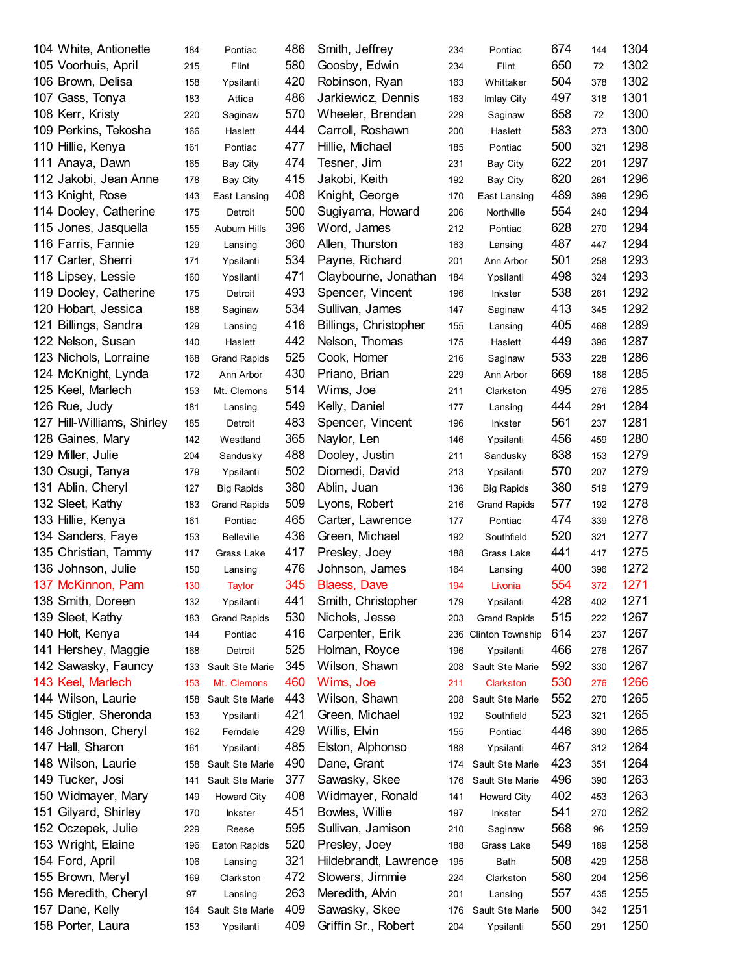| 104 White, Antionette      | 184 | Pontiac             | 486 | Smith, Jeffrey                    | 234 | Pontiac             | 674 | 144 | 1304 |
|----------------------------|-----|---------------------|-----|-----------------------------------|-----|---------------------|-----|-----|------|
| 105 Voorhuis, April        | 215 | Flint               | 580 | Goosby, Edwin                     | 234 | Flint               | 650 | 72  | 1302 |
| 106 Brown, Delisa          | 158 | Ypsilanti           | 420 | Robinson, Ryan                    | 163 | Whittaker           | 504 | 378 | 1302 |
| 107 Gass, Tonya            | 183 | Attica              | 486 | Jarkiewicz, Dennis                | 163 | Imlay City          | 497 | 318 | 1301 |
| 108 Kerr, Kristy           | 220 | Saginaw             | 570 | Wheeler, Brendan                  | 229 | Saginaw             | 658 | 72  | 1300 |
| 109 Perkins, Tekosha       | 166 | Haslett             | 444 | Carroll, Roshawn                  | 200 | Haslett             | 583 | 273 | 1300 |
| 110 Hillie, Kenya          | 161 | Pontiac             | 477 | Hillie, Michael                   | 185 | Pontiac             | 500 | 321 | 1298 |
| 111 Anaya, Dawn            | 165 | <b>Bay City</b>     | 474 | Tesner, Jim                       | 231 | <b>Bay City</b>     | 622 | 201 | 1297 |
| 112 Jakobi, Jean Anne      | 178 | <b>Bay City</b>     | 415 | Jakobi, Keith                     | 192 | Bay City            | 620 | 261 | 1296 |
| 113 Knight, Rose           | 143 | East Lansing        | 408 | Knight, George                    | 170 | East Lansing        | 489 | 399 | 1296 |
| 114 Dooley, Catherine      | 175 | Detroit             | 500 | Sugiyama, Howard                  | 206 | Northville          | 554 | 240 | 1294 |
| 115 Jones, Jasquella       | 155 | Auburn Hills        | 396 | Word, James                       | 212 | Pontiac             | 628 | 270 | 1294 |
| 116 Farris, Fannie         | 129 | Lansing             | 360 | Allen, Thurston                   | 163 | Lansing             | 487 | 447 | 1294 |
| 117 Carter, Sherri         | 171 | Ypsilanti           | 534 | Payne, Richard                    | 201 | Ann Arbor           | 501 | 258 | 1293 |
| 118 Lipsey, Lessie         | 160 | Ypsilanti           | 471 | Claybourne, Jonathan              | 184 | Ypsilanti           | 498 | 324 | 1293 |
| 119 Dooley, Catherine      | 175 | Detroit             | 493 | Spencer, Vincent                  | 196 | Inkster             | 538 | 261 | 1292 |
| 120 Hobart, Jessica        | 188 | Saginaw             | 534 | Sullivan, James                   | 147 | Saginaw             | 413 | 345 | 1292 |
| 121 Billings, Sandra       | 129 | Lansing             | 416 | Billings, Christopher             | 155 | Lansing             | 405 | 468 | 1289 |
| 122 Nelson, Susan          | 140 | Haslett             | 442 | Nelson, Thomas                    | 175 | Haslett             | 449 | 396 | 1287 |
| 123 Nichols, Lorraine      | 168 | <b>Grand Rapids</b> | 525 | Cook, Homer                       | 216 | Saginaw             | 533 | 228 | 1286 |
| 124 McKnight, Lynda        | 172 | Ann Arbor           | 430 | Priano, Brian                     | 229 | Ann Arbor           | 669 | 186 | 1285 |
| 125 Keel, Marlech          | 153 | Mt. Clemons         | 514 | Wims, Joe                         | 211 | Clarkston           | 495 | 276 | 1285 |
| 126 Rue, Judy              | 181 | Lansing             | 549 | Kelly, Daniel                     | 177 | Lansing             | 444 | 291 | 1284 |
| 127 Hill-Williams, Shirley | 185 | Detroit             | 483 | Spencer, Vincent                  | 196 | <b>Inkster</b>      | 561 | 237 | 1281 |
| 128 Gaines, Mary           | 142 | Westland            | 365 | Naylor, Len                       | 146 | Ypsilanti           | 456 | 459 | 1280 |
| 129 Miller, Julie          | 204 | Sandusky            | 488 | Dooley, Justin                    | 211 | Sandusky            | 638 | 153 | 1279 |
| 130 Osugi, Tanya           | 179 | Ypsilanti           | 502 | Diomedi, David                    | 213 | Ypsilanti           | 570 | 207 | 1279 |
| 131 Ablin, Cheryl          | 127 | <b>Big Rapids</b>   | 380 | Ablin, Juan                       | 136 | <b>Big Rapids</b>   | 380 | 519 | 1279 |
| 132 Sleet, Kathy           |     |                     | 509 |                                   |     |                     | 577 |     | 1278 |
|                            | 183 | <b>Grand Rapids</b> | 465 | Lyons, Robert<br>Carter, Lawrence | 216 | <b>Grand Rapids</b> | 474 | 192 | 1278 |
| 133 Hillie, Kenya          | 161 | Pontiac             | 436 | Green, Michael                    | 177 | Pontiac             | 520 | 339 | 1277 |
| 134 Sanders, Faye          | 153 | <b>Belleville</b>   | 417 |                                   | 192 | Southfield          | 441 | 321 | 1275 |
| 135 Christian, Tammy       | 117 | Grass Lake          | 476 | Presley, Joey                     | 188 | Grass Lake          | 400 | 417 | 1272 |
| 136 Johnson, Julie         | 150 | Lansing             |     | Johnson, James                    | 164 | Lansing             |     | 396 |      |
| 137 McKinnon, Pam          | 130 | <b>Taylor</b>       | 345 | <b>Blaess, Dave</b>               | 194 | Livonia             | 554 | 372 | 1271 |
| 138 Smith, Doreen          | 132 | Ypsilanti           | 441 | Smith, Christopher                | 179 | Ypsilanti           | 428 | 402 | 1271 |
| 139 Sleet, Kathy           | 183 | <b>Grand Rapids</b> | 530 | Nichols, Jesse                    | 203 | <b>Grand Rapids</b> | 515 | 222 | 1267 |
| 140 Holt, Kenya            | 144 | Pontiac             | 416 | Carpenter, Erik                   | 236 | Clinton Township    | 614 | 237 | 1267 |
| 141 Hershey, Maggie        | 168 | Detroit             | 525 | Holman, Royce                     | 196 | Ypsilanti           | 466 | 276 | 1267 |
| 142 Sawasky, Fauncy        | 133 | Sault Ste Marie     | 345 | Wilson, Shawn                     | 208 | Sault Ste Marie     | 592 | 330 | 1267 |
| 143 Keel, Marlech          | 153 | Mt. Clemons         | 460 | Wims, Joe                         | 211 | Clarkston           | 530 | 276 | 1266 |
| 144 Wilson, Laurie         | 158 | Sault Ste Marie     | 443 | Wilson, Shawn                     | 208 | Sault Ste Marie     | 552 | 270 | 1265 |
| 145 Stigler, Sheronda      | 153 | Ypsilanti           | 421 | Green, Michael                    | 192 | Southfield          | 523 | 321 | 1265 |
| 146 Johnson, Cheryl        | 162 | Ferndale            | 429 | Willis, Elvin                     | 155 | Pontiac             | 446 | 390 | 1265 |
| 147 Hall, Sharon           | 161 | Ypsilanti           | 485 | Elston, Alphonso                  | 188 | Ypsilanti           | 467 | 312 | 1264 |
| 148 Wilson, Laurie         | 158 | Sault Ste Marie     | 490 | Dane, Grant                       | 174 | Sault Ste Marie     | 423 | 351 | 1264 |
| 149 Tucker, Josi           | 141 | Sault Ste Marie     | 377 | Sawasky, Skee                     | 176 | Sault Ste Marie     | 496 | 390 | 1263 |
| 150 Widmayer, Mary         | 149 | Howard City         | 408 | Widmayer, Ronald                  | 141 | <b>Howard City</b>  | 402 | 453 | 1263 |
| 151 Gilyard, Shirley       | 170 | <b>Inkster</b>      | 451 | Bowles, Willie                    | 197 | <b>Inkster</b>      | 541 | 270 | 1262 |
| 152 Oczepek, Julie         | 229 | Reese               | 595 | Sullivan, Jamison                 | 210 | Saginaw             | 568 | 96  | 1259 |
| 153 Wright, Elaine         | 196 | Eaton Rapids        | 520 | Presley, Joey                     | 188 | Grass Lake          | 549 | 189 | 1258 |
| 154 Ford, April            | 106 | Lansing             | 321 | Hildebrandt, Lawrence             | 195 | <b>Bath</b>         | 508 | 429 | 1258 |
| 155 Brown, Meryl           | 169 | Clarkston           | 472 | Stowers, Jimmie                   | 224 | Clarkston           | 580 | 204 | 1256 |
| 156 Meredith, Cheryl       | 97  | Lansing             | 263 | Meredith, Alvin                   | 201 | Lansing             | 557 | 435 | 1255 |
| 157 Dane, Kelly            | 164 | Sault Ste Marie     | 409 | Sawasky, Skee                     | 176 | Sault Ste Marie     | 500 | 342 | 1251 |
| 158 Porter, Laura          | 153 | Ypsilanti           | 409 | Griffin Sr., Robert               | 204 | Ypsilanti           | 550 | 291 | 1250 |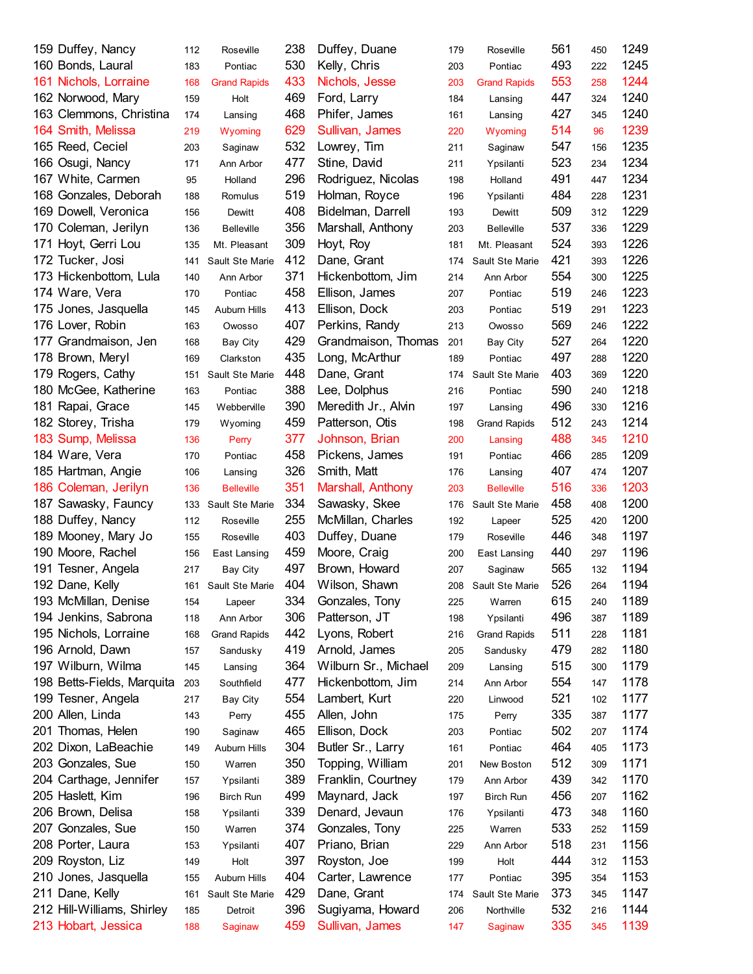| 159 Duffey, Nancy          | 112 | Roseville           | 238 | Duffey, Duane        | 179 | Roseville           | 561 | 450 | 1249 |
|----------------------------|-----|---------------------|-----|----------------------|-----|---------------------|-----|-----|------|
| 160 Bonds, Laural          | 183 | Pontiac             | 530 | Kelly, Chris         | 203 | Pontiac             | 493 | 222 | 1245 |
| 161 Nichols, Lorraine      | 168 | <b>Grand Rapids</b> | 433 | Nichols, Jesse       | 203 | <b>Grand Rapids</b> | 553 | 258 | 1244 |
| 162 Norwood, Mary          | 159 | Holt                | 469 | Ford, Larry          | 184 | Lansing             | 447 | 324 | 1240 |
| 163 Clemmons, Christina    | 174 | Lansing             | 468 | Phifer, James        | 161 | Lansing             | 427 | 345 | 1240 |
| 164 Smith, Melissa         | 219 | Wyoming             | 629 | Sullivan, James      | 220 | Wyoming             | 514 | 96  | 1239 |
| 165 Reed, Ceciel           | 203 | Saginaw             | 532 | Lowrey, Tim          | 211 | Saginaw             | 547 | 156 | 1235 |
| 166 Osugi, Nancy           | 171 | Ann Arbor           | 477 | Stine, David         | 211 | Ypsilanti           | 523 | 234 | 1234 |
| 167 White, Carmen          | 95  | Holland             | 296 | Rodriguez, Nicolas   | 198 | Holland             | 491 | 447 | 1234 |
| 168 Gonzales, Deborah      | 188 | Romulus             | 519 | Holman, Royce        | 196 | Ypsilanti           | 484 | 228 | 1231 |
| 169 Dowell, Veronica       | 156 | Dewitt              | 408 | Bidelman, Darrell    | 193 | Dewitt              | 509 | 312 | 1229 |
| 170 Coleman, Jerilyn       | 136 | <b>Belleville</b>   | 356 | Marshall, Anthony    | 203 | <b>Belleville</b>   | 537 | 336 | 1229 |
| 171 Hoyt, Gerri Lou        | 135 | Mt. Pleasant        | 309 | Hoyt, Roy            | 181 | Mt. Pleasant        | 524 | 393 | 1226 |
| 172 Tucker, Josi           | 141 | Sault Ste Marie     | 412 | Dane, Grant          | 174 | Sault Ste Marie     | 421 | 393 | 1226 |
| 173 Hickenbottom, Lula     | 140 | Ann Arbor           | 371 | Hickenbottom, Jim    | 214 | Ann Arbor           | 554 | 300 | 1225 |
| 174 Ware, Vera             | 170 | Pontiac             | 458 | Ellison, James       | 207 | Pontiac             | 519 | 246 | 1223 |
| 175 Jones, Jasquella       | 145 | Auburn Hills        | 413 | Ellison, Dock        | 203 | Pontiac             | 519 | 291 | 1223 |
| 176 Lover, Robin           | 163 | Owosso              | 407 | Perkins, Randy       | 213 | Owosso              | 569 | 246 | 1222 |
| 177 Grandmaison, Jen       | 168 | Bay City            | 429 | Grandmaison, Thomas  | 201 |                     | 527 | 264 | 1220 |
| 178 Brown, Meryl           |     |                     | 435 | Long, McArthur       |     | <b>Bay City</b>     | 497 |     | 1220 |
|                            | 169 | Clarkston           | 448 |                      | 189 | Pontiac             | 403 | 288 | 1220 |
| 179 Rogers, Cathy          | 151 | Sault Ste Marie     |     | Dane, Grant          | 174 | Sault Ste Marie     |     | 369 |      |
| 180 McGee, Katherine       | 163 | Pontiac             | 388 | Lee, Dolphus         | 216 | Pontiac             | 590 | 240 | 1218 |
| 181 Rapai, Grace           | 145 | Webberville         | 390 | Meredith Jr., Alvin  | 197 | Lansing             | 496 | 330 | 1216 |
| 182 Storey, Trisha         | 179 | Wyoming             | 459 | Patterson, Otis      | 198 | <b>Grand Rapids</b> | 512 | 243 | 1214 |
| 183 Sump, Melissa          | 136 | Perry               | 377 | Johnson, Brian       | 200 | Lansing             | 488 | 345 | 1210 |
| 184 Ware, Vera             | 170 | Pontiac             | 458 | Pickens, James       | 191 | Pontiac             | 466 | 285 | 1209 |
| 185 Hartman, Angie         | 106 | Lansing             | 326 | Smith, Matt          | 176 | Lansing             | 407 | 474 | 1207 |
| 186 Coleman, Jerilyn       | 136 | <b>Belleville</b>   | 351 | Marshall, Anthony    | 203 | <b>Belleville</b>   | 516 | 336 | 1203 |
| 187 Sawasky, Fauncy        |     | 133 Sault Ste Marie | 334 | Sawasky, Skee        | 176 | Sault Ste Marie     | 458 | 408 | 1200 |
| 188 Duffey, Nancy          | 112 | Roseville           | 255 | McMillan, Charles    | 192 | Lapeer              | 525 | 420 | 1200 |
| 189 Mooney, Mary Jo        | 155 | Roseville           | 403 | Duffey, Duane        | 179 | Roseville           | 446 | 348 | 1197 |
| 190 Moore, Rachel          | 156 | East Lansing        | 459 | Moore, Craig         | 200 | East Lansing        | 440 | 297 | 1196 |
| 191 Tesner, Angela         | 217 | Bay City            | 497 | Brown, Howard        | 207 | Saginaw             | 565 | 132 | 1194 |
| 192 Dane, Kelly            |     | 161 Sault Ste Marie | 404 | Wilson, Shawn        | 208 | Sault Ste Marie     | 526 | 264 | 1194 |
| 193 McMillan, Denise       | 154 | Lapeer              | 334 | Gonzales, Tony       | 225 | Warren              | 615 | 240 | 1189 |
| 194 Jenkins, Sabrona       | 118 | Ann Arbor           | 306 | Patterson, JT        | 198 | Ypsilanti           | 496 | 387 | 1189 |
| 195 Nichols, Lorraine      | 168 | <b>Grand Rapids</b> | 442 | Lyons, Robert        | 216 | <b>Grand Rapids</b> | 511 | 228 | 1181 |
| 196 Arnold, Dawn           | 157 | Sandusky            | 419 | Arnold, James        | 205 | Sandusky            | 479 | 282 | 1180 |
| 197 Wilburn, Wilma         | 145 | Lansing             | 364 | Wilburn Sr., Michael | 209 | Lansing             | 515 | 300 | 1179 |
| 198 Betts-Fields, Marquita | 203 | Southfield          | 477 | Hickenbottom, Jim    | 214 | Ann Arbor           | 554 | 147 | 1178 |
| 199 Tesner, Angela         | 217 | Bay City            | 554 | Lambert, Kurt        | 220 | Linwood             | 521 | 102 | 1177 |
| 200 Allen, Linda           | 143 | Perry               | 455 | Allen, John          | 175 | Perry               | 335 | 387 | 1177 |
| 201 Thomas, Helen          | 190 | Saginaw             | 465 | Ellison, Dock        | 203 | Pontiac             | 502 | 207 | 1174 |
| 202 Dixon, LaBeachie       | 149 | Auburn Hills        | 304 | Butler Sr., Larry    | 161 | Pontiac             | 464 | 405 | 1173 |
| 203 Gonzales, Sue          | 150 | Warren              | 350 | Topping, William     | 201 | New Boston          | 512 | 309 | 1171 |
| 204 Carthage, Jennifer     |     | Ypsilanti           | 389 | Franklin, Courtney   | 179 | Ann Arbor           | 439 | 342 | 1170 |
| 205 Haslett, Kim           | 157 |                     | 499 |                      |     |                     | 456 |     | 1162 |
|                            | 196 | <b>Birch Run</b>    |     | Maynard, Jack        | 197 | Birch Run           |     | 207 |      |
| 206 Brown, Delisa          | 158 | Ypsilanti           | 339 | Denard, Jevaun       | 176 | Ypsilanti           | 473 | 348 | 1160 |
| 207 Gonzales, Sue          | 150 | Warren              | 374 | Gonzales, Tony       | 225 | Warren              | 533 | 252 | 1159 |
| 208 Porter, Laura          | 153 | Ypsilanti           | 407 | Priano, Brian        | 229 | Ann Arbor           | 518 | 231 | 1156 |
| 209 Royston, Liz           | 149 | Holt                | 397 | Royston, Joe         | 199 | Holt                | 444 | 312 | 1153 |
| 210 Jones, Jasquella       | 155 | Auburn Hills        | 404 | Carter, Lawrence     | 177 | Pontiac             | 395 | 354 | 1153 |
| 211 Dane, Kelly            | 161 | Sault Ste Marie     | 429 | Dane, Grant          | 174 | Sault Ste Marie     | 373 | 345 | 1147 |
| 212 Hill-Williams, Shirley | 185 | Detroit             | 396 | Sugiyama, Howard     | 206 | Northville          | 532 | 216 | 1144 |
| 213 Hobart, Jessica        | 188 | Saginaw             | 459 | Sullivan, James      | 147 | Saginaw             | 335 | 345 | 1139 |